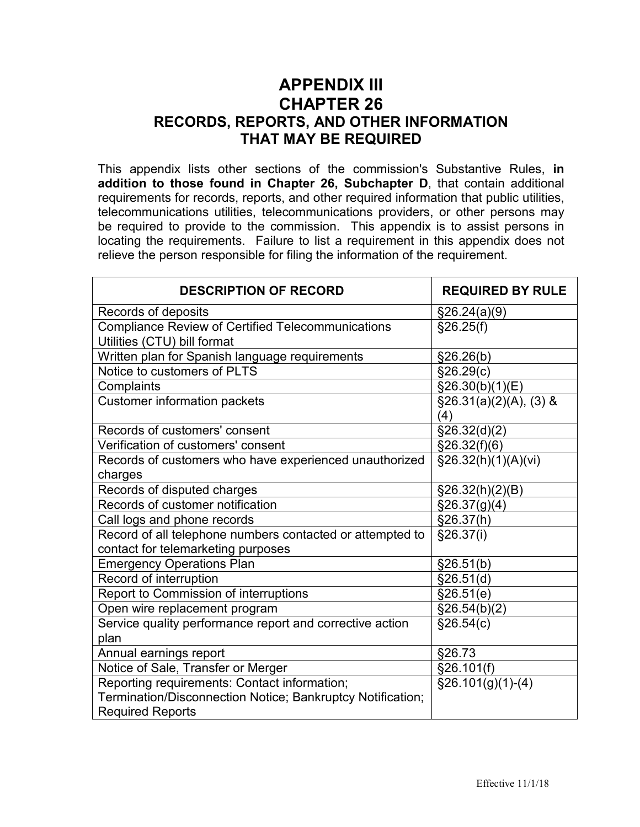## **APPENDIX III CHAPTER 26 RECORDS, REPORTS, AND OTHER INFORMATION THAT MAY BE REQUIRED**

This appendix lists other sections of the commission's Substantive Rules, **in addition to those found in Chapter 26, Subchapter D**, that contain additional requirements for records, reports, and other required information that public utilities, telecommunications utilities, telecommunications providers, or other persons may be required to provide to the commission. This appendix is to assist persons in locating the requirements. Failure to list a requirement in this appendix does not relieve the person responsible for filing the information of the requirement.

| <b>DESCRIPTION OF RECORD</b>                                                                                                          | <b>REQUIRED BY RULE</b>           |
|---------------------------------------------------------------------------------------------------------------------------------------|-----------------------------------|
| Records of deposits                                                                                                                   | \$26.24(a)(9)                     |
| Compliance Review of Certified Telecommunications<br>Utilities (CTU) bill format                                                      | §26.25(f)                         |
| Written plan for Spanish language requirements                                                                                        | §26.26(b)                         |
| Notice to customers of PLTS                                                                                                           | §26.29(c)                         |
| Complaints                                                                                                                            | \$26.30(b)(1)(E)                  |
| <b>Customer information packets</b>                                                                                                   | $\S$ 26.31(a)(2)(A), (3) &<br>(4) |
| Records of customers' consent                                                                                                         | §26.32(d)(2)                      |
| Verification of customers' consent                                                                                                    | §26.32(f)(6)                      |
| Records of customers who have experienced unauthorized<br>charges                                                                     | $\S26.32(h)(1)(A)(vi)$            |
| Records of disputed charges                                                                                                           | $\S26.32(h)(2)(B)$                |
| Records of customer notification                                                                                                      | \$26.37(g)(4)                     |
| Call logs and phone records                                                                                                           | §26.37(h)                         |
| Record of all telephone numbers contacted or attempted to<br>contact for telemarketing purposes                                       | §26.37(i)                         |
| <b>Emergency Operations Plan</b>                                                                                                      | §26.51(b)                         |
| Record of interruption                                                                                                                | \$26.51(d)                        |
| Report to Commission of interruptions                                                                                                 | \$26.51(e)                        |
| Open wire replacement program                                                                                                         | \$26.54(b)(2)                     |
| Service quality performance report and corrective action<br>plan                                                                      | §26.54(c)                         |
| Annual earnings report                                                                                                                | §26.73                            |
| Notice of Sale, Transfer or Merger                                                                                                    | §26.101(f)                        |
| Reporting requirements: Contact information;<br>Termination/Disconnection Notice; Bankruptcy Notification;<br><b>Required Reports</b> | $$26.101(g)(1)-(4)$               |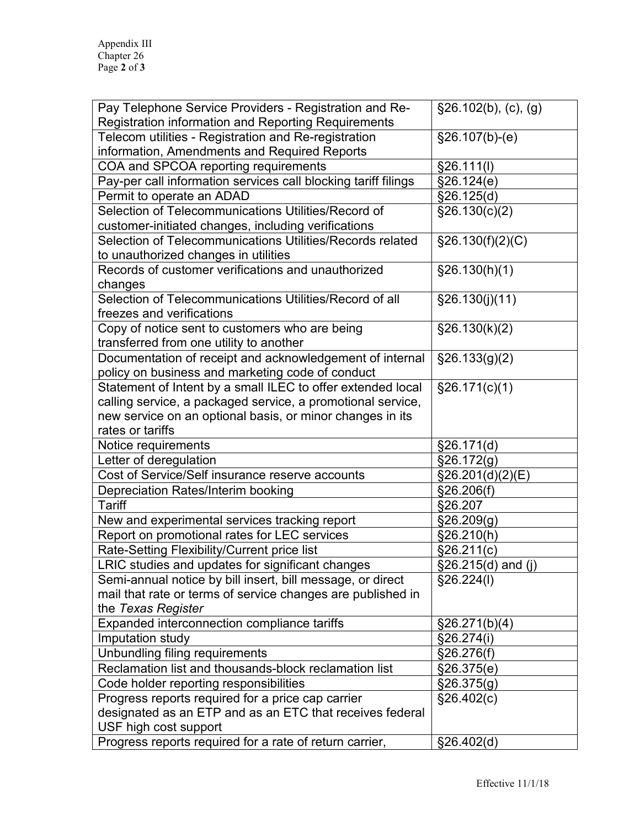| Pay Telephone Service Providers - Registration and Re-<br><b>Registration information and Reporting Requirements</b> | $\overline{$}26.102(b), (c), (g)$ |
|----------------------------------------------------------------------------------------------------------------------|-----------------------------------|
| Telecom utilities - Registration and Re-registration                                                                 | $§26.107(b)-(e)$                  |
| information, Amendments and Required Reports                                                                         |                                   |
| COA and SPCOA reporting requirements                                                                                 | §26.111(l)                        |
| Pay-per call information services call blocking tariff filings                                                       | §26.124(e)                        |
| Permit to operate an ADAD                                                                                            | §26.125(d)                        |
| Selection of Telecommunications Utilities/Record of                                                                  | \$26.130(c)(2)                    |
| customer-initiated changes, including verifications                                                                  |                                   |
| Selection of Telecommunications Utilities/Records related                                                            | §26.130(f)(2)(C)                  |
| to unauthorized changes in utilities                                                                                 |                                   |
| Records of customer verifications and unauthorized                                                                   | §26.130(h)(1)                     |
| changes                                                                                                              |                                   |
| Selection of Telecommunications Utilities/Record of all                                                              | §26.130(j)(11)                    |
| freezes and verifications                                                                                            |                                   |
| Copy of notice sent to customers who are being                                                                       | §26.130(k)(2)                     |
| transferred from one utility to another                                                                              |                                   |
| Documentation of receipt and acknowledgement of internal                                                             | $\S$ 26.133(g)(2)                 |
| policy on business and marketing code of conduct                                                                     |                                   |
| Statement of Intent by a small ILEC to offer extended local                                                          | §26.171(c)(1)                     |
| calling service, a packaged service, a promotional service,                                                          |                                   |
| new service on an optional basis, or minor changes in its                                                            |                                   |
| rates or tariffs                                                                                                     |                                   |
| Notice requirements                                                                                                  | §26.171(d)                        |
| Letter of deregulation                                                                                               | §26.172(g)                        |
| Cost of Service/Self insurance reserve accounts                                                                      | \$26.201(d)(2)(E)                 |
| Depreciation Rates/Interim booking                                                                                   | §26.206(f)                        |
| <b>Tariff</b>                                                                                                        | §26.207                           |
| New and experimental services tracking report                                                                        | §26.209(g)                        |
| Report on promotional rates for LEC services                                                                         | §26.210(h)                        |
| Rate-Setting Flexibility/Current price list                                                                          | \$26.211(c)                       |
| LRIC studies and updates for significant changes                                                                     | $\sqrt{26.215(d)}$ and (j)        |
| Semi-annual notice by bill insert, bill message, or direct                                                           | §26.224(1)                        |
| mail that rate or terms of service changes are published in                                                          |                                   |
| the Texas Register                                                                                                   |                                   |
| Expanded interconnection compliance tariffs                                                                          | $\S 26.271(b)(4)$                 |
| Imputation study                                                                                                     | §26.274(i)                        |
| Unbundling filing requirements                                                                                       | §26.276(f)                        |
| Reclamation list and thousands-block reclamation list                                                                | §26.375(e)                        |
| Code holder reporting responsibilities                                                                               | §26.375(g)                        |
| Progress reports required for a price cap carrier                                                                    | §26.402(c)                        |
| designated as an ETP and as an ETC that receives federal                                                             |                                   |
| USF high cost support                                                                                                |                                   |
| Progress reports required for a rate of return carrier,                                                              | §26.402(d)                        |